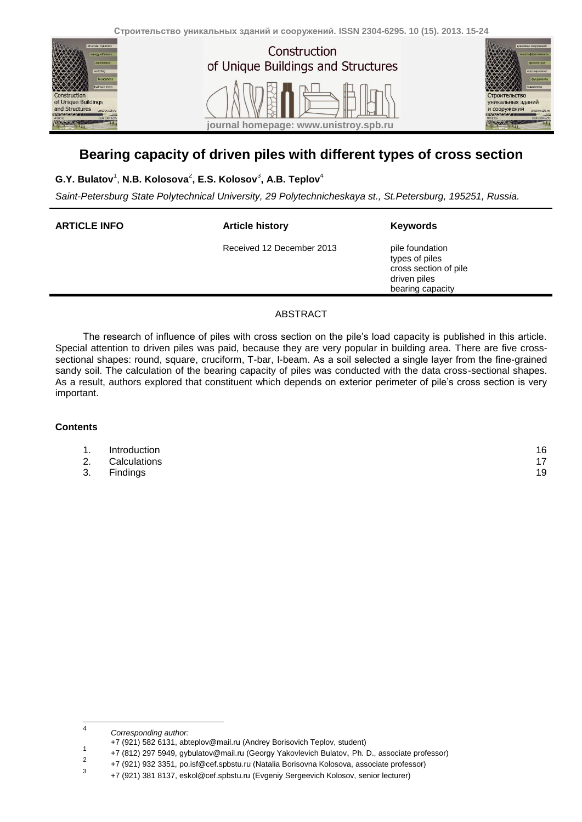



# **Bearing capacity of driven piles with different types of cross section**

### **G.Y. Bulatov**<sup>1</sup> , **N.B. Kolosova** 2 **, E.S. Kolosov**<sup>3</sup> **, A.B. Teplov**<sup>4</sup>

*Saint-Petersburg State Polytechnical University, 29 Polytechnicheskaya st., St.Petersburg, 195251, Russia.*

| <b>ARTICLE INFO</b> | <b>Article history</b>    | Keywords                                                                                       |
|---------------------|---------------------------|------------------------------------------------------------------------------------------------|
|                     | Received 12 December 2013 | pile foundation<br>types of piles<br>cross section of pile<br>driven piles<br>bearing capacity |

### ABSTRACT

The research of influence of piles with cross section on the pile's load capacity is published in this article. Special attention to driven piles was paid, because they are very popular in building area. There are five crosssectional shapes: round, square, cruciform, T-bar, I-beam. As а soil selected a single layer from the fine-grained sandy soil. The calculation of the bearing capacity of piles was conducted with the data cross-sectional shapes. As a result, authors explored that constituent which depends on exterior perimeter of pile's cross section is very important.

#### **Contents**

| 16 |
|----|
|    |

- 2. [Calculations](#page-2-0) 17
- 3. [Findings](#page-4-0) 19

 $\frac{1}{4}$ *Corresponding author:*

<sup>+7 (921) 582 6131,</sup> abteplov@mail.ru (Andrey Borisovich Teplov, student) 1

<sup>+7 (812) 297 5949,</sup> gybulatov@mail.ru (Georgy Yakovlevich Bulatov, Ph. D., associate professor)  $\overline{2}$ 

<sup>+7 (921) 932 3351,</sup> po.isf@cef.spbstu.ru (Natalia Borisovna Kolosova, associate professor) 3

<sup>+7 (921) 381</sup> 8137, eskol@cef.spbstu.ru (Evgeniy Sergeevich Kolosov, senior lecturer)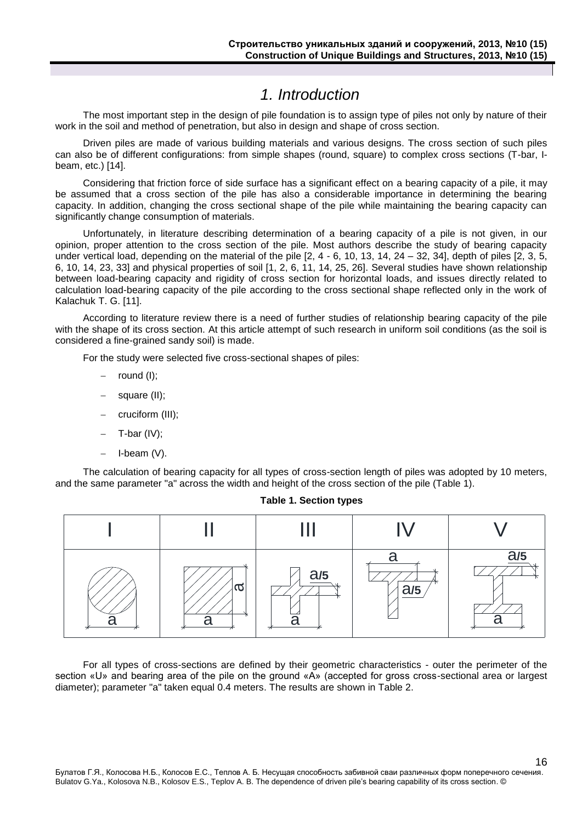# *1. Introduction*

<span id="page-1-0"></span>The most important step in the design of pile foundation is to assign type of piles not only by nature of their work in the soil and method of penetration, but also in design and shape of cross section.

Driven piles are made of various building materials and various designs. The cross section of such piles can also be of different configurations: from simple shapes (round, square) to complex cross sections (T-bar, Ibeam, etc.) [14].

Considering that friction force of side surface has a significant effect on a bearing capacity of a pile, it may be assumed that a cross section of the pile has also a considerable importance in determining the bearing capacity. In addition, changing the cross sectional shape of the pile while maintaining the bearing capacity can significantly change consumption of materials.

Unfortunately, in literature describing determination of a bearing capacity of a pile is not given, in our opinion, proper attention to the cross section of the pile. Most authors describe the study of bearing capacity under vertical load, depending on the material of the pile [2, 4 - 6, 10, 13, 14, 24 – 32, 34], depth of piles [2, 3, 5, 6, 10, 14, 23, 33] and physical properties of soil [1, 2, 6, 11, 14, 25, 26]. Several studies have shown relationship between load-bearing capacity and rigidity of cross section for horizontal loads, and issues directly related to calculation load-bearing capacity of the pile according to the cross sectional shape reflected only in the work of Kalachuk T. G. [11].

According to literature review there is a need of further studies of relationship bearing capacity of the pile with the shape of its cross section. At this article attempt of such research in uniform soil conditions (as the soil is considered a fine-grained sandy soil) is made.

For the study were selected five cross-sectional shapes of piles:

- round (I);
- square (II);
- cruciform (III);
- T-bar (IV);
- $-$  I-beam (V).

The calculation of bearing capacity for all types of cross-section length of piles was adopted by 10 meters, and the same parameter "a" across the width and height of the cross section of the pile (Table 1).



**Table 1. Section types**

For all types of cross-sections are defined by their geometric characteristics - outer the perimeter of the section «U» and bearing area of the pile on the ground «A» (accepted for gross cross-sectional area or largest diameter); parameter "a" taken equal 0.4 meters. The results are shown in Table 2.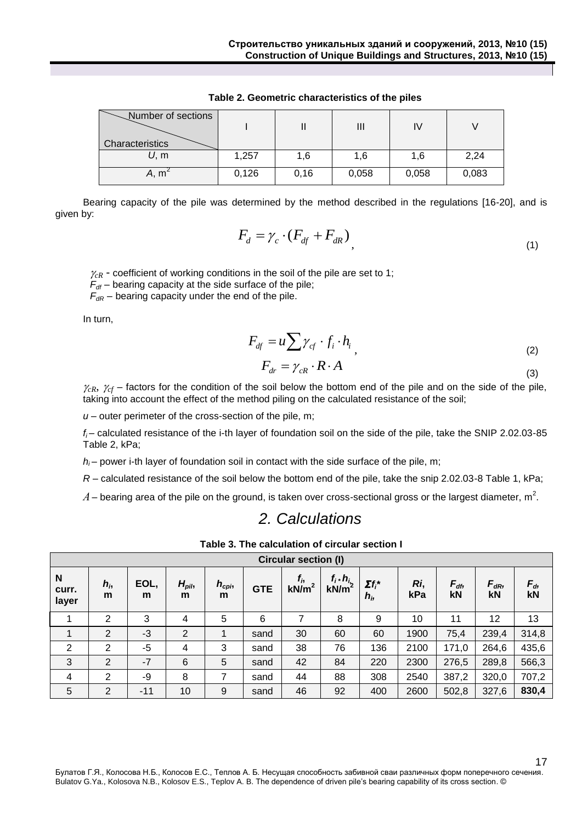| Number of sections |       |      | Ш     |       |       |
|--------------------|-------|------|-------|-------|-------|
| Characteristics    |       |      |       |       |       |
| U, m               | 1,257 | 1,6  | 1,6   | 1.6   | 2,24  |
| A, m'              | 0,126 | 0,16 | 0,058 | 0,058 | 0,083 |

**Table 2. Geometric characteristics of the piles**

Bearing capacity of the pile was determined by the method described in the regulations [16-20], and is given by:

$$
F_d = \gamma_c \cdot (F_{df} + F_{dR}) \tag{1}
$$

 $\gamma_{cR}$  - coefficient of working conditions in the soil of the pile are set to 1;

 $F_{df}$  – bearing capacity at the side surface of the pile;

 $F_{dR}$  – bearing capacity under the end of the pile.

In turn,

$$
F_{df} = u \sum \gamma_{cf} \cdot f_i \cdot h_i \tag{2}
$$

$$
F_{dr} = \gamma_{cR} \cdot R \cdot A \tag{3}
$$

17

 $\gamma_{cR}$ ,  $\gamma_{cf}$  – factors for the condition of the soil below the bottom end of the pile and on the side of the pile, taking into account the effect of the method piling on the calculated resistance of the soil;

*u* – outer perimeter of the cross-section of the pile, m;

*fi* – calculated resistance of the i-th layer of foundation soil on the side of the pile, take the SNIP 2.02.03-85 Table 2, kPa;

 $h_i$  – power i-th layer of foundation soil in contact with the side surface of the pile, m;

*R* – calculated resistance of the soil below the bottom end of the pile, take the snip 2.02.03-8 Table 1, kPa;

<span id="page-2-0"></span> $A$  – bearing area of the pile on the ground, is taken over cross-sectional gross or the largest diameter, m<sup>2</sup>.

# *2. Calculations*

| Table 3. The calculation of circular section I |  |
|------------------------------------------------|--|
|                                                |  |

|                     | <b>Circular section (I)</b> |           |                       |                       |            |                              |                           |                           |            |                |                       |               |
|---------------------|-----------------------------|-----------|-----------------------|-----------------------|------------|------------------------------|---------------------------|---------------------------|------------|----------------|-----------------------|---------------|
| N<br>curr.<br>layer | $h_i$<br>m                  | EOL,<br>m | $H_{\text{pil}}$<br>m | $h_{\text{cpi}}$<br>m | <b>GTE</b> | $f_{i}$<br>kN/m <sup>2</sup> | $f_i$ * $h_{i_k}$<br>kN/m | $\Sigma f_i^*$<br>$h_{i}$ | Ri,<br>kPa | $F_{df}$<br>kN | $F_{dR}$<br><b>kN</b> | $F_{d}$<br>kN |
|                     | $\overline{2}$              | 3         | 4                     | 5                     | 6          |                              | 8                         | 9                         | 10         | 11             | 12                    | 13            |
|                     | $\overline{2}$              | -3        | $\overline{2}$        |                       | sand       | 30                           | 60                        | 60                        | 1900       | 75,4           | 239,4                 | 314,8         |
| 2                   | 2                           | -5        | 4                     | 3                     | sand       | 38                           | 76                        | 136                       | 2100       | 171,0          | 264,6                 | 435,6         |
| 3                   | 2                           | $-7$      | 6                     | 5                     | sand       | 42                           | 84                        | 220                       | 2300       | 276,5          | 289,8                 | 566,3         |
| 4                   | 2                           | -9        | 8                     | 7                     | sand       | 44                           | 88                        | 308                       | 2540       | 387,2          | 320,0                 | 707,2         |
| 5                   | $\overline{2}$              | $-11$     | 10                    | 9                     | sand       | 46                           | 92                        | 400                       | 2600       | 502,8          | 327,6                 | 830,4         |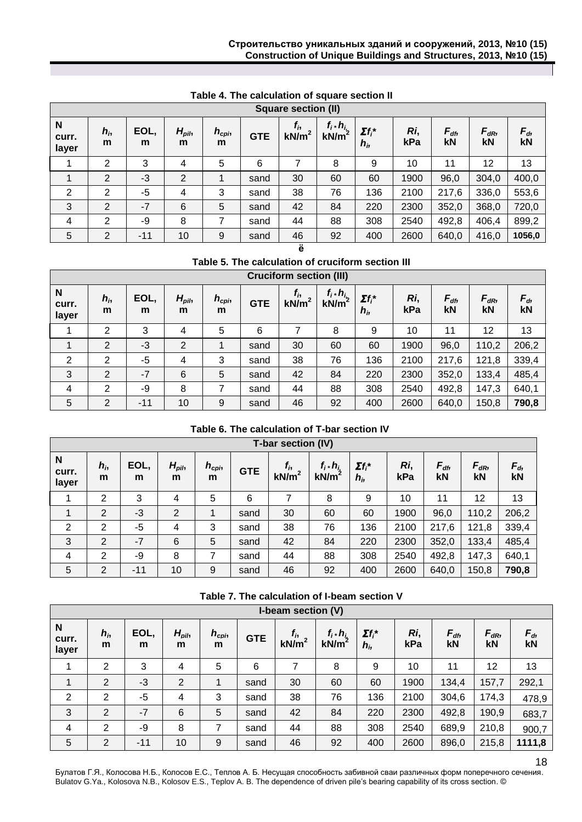|                     | <b>Square section (II)</b> |           |                |                       |            |                     |                       |                           |            |                |                       |               |
|---------------------|----------------------------|-----------|----------------|-----------------------|------------|---------------------|-----------------------|---------------------------|------------|----------------|-----------------------|---------------|
| N<br>curr.<br>layer | $h_i$<br>m                 | EOL,<br>m | $H_{pil}$<br>m | $h_{\text{cpi}}$<br>m | <b>GTE</b> | $f_{i}$<br>$kN/m^2$ | $f_i$ * $h_i$<br>kN/m | $\Sigma f_i^*$<br>$h_{i}$ | Ri,<br>kPa | $F_{df}$<br>kN | $F_{dR}$<br><b>kN</b> | $F_{d}$<br>kN |
|                     | $\overline{2}$             | 3         | 4              | 5                     | 6          |                     | 8                     | 9                         | 10         | 11             | 12                    | 13            |
|                     | 2                          | $-3$      | 2              |                       | sand       | 30                  | 60                    | 60                        | 1900       | 96,0           | 304,0                 | 400,0         |
| 2                   | 2                          | -5        | 4              | 3                     | sand       | 38                  | 76                    | 136                       | 2100       | 217,6          | 336,0                 | 553,6         |
| 3                   | $\overline{2}$             | $-7$      | 6              | 5                     | sand       | 42                  | 84                    | 220                       | 2300       | 352,0          | 368,0                 | 720,0         |
| $\overline{4}$      | 2                          | -9        | 8              | 7                     | sand       | 44                  | 88                    | 308                       | 2540       | 492,8          | 406,4                 | 899,2         |
| 5                   | $\overline{2}$             | $-11$     | 10             | 9                     | sand       | 46                  | 92                    | 400                       | 2600       | 640,0          | 416,0                 | 1056,0        |
|                     |                            |           |                |                       |            | ë                   |                       |                           |            |                |                       |               |

#### **Table 4. The calculation of square section II**

**Table 5. The calculation of cruciform section III**

|                     | <b>Cruciform section (III)</b> |           |                       |                       |            |                              |                                        |                           |            |                |                       |                 |
|---------------------|--------------------------------|-----------|-----------------------|-----------------------|------------|------------------------------|----------------------------------------|---------------------------|------------|----------------|-----------------------|-----------------|
| N<br>curr.<br>layer | $h_{i}$<br>m                   | EOL,<br>m | $H_{\text{pil}}$<br>m | $h_{\text{cpi}}$<br>m | <b>GTE</b> | $f_{i}$<br>kN/m <sup>2</sup> | $f_i$ * $h_{i_2}$<br>kN/m <sup>2</sup> | $\Sigma f_i^*$<br>$h_{i}$ | Ri,<br>kPa | $F_{df}$<br>kN | $F_{dR}$<br><b>kN</b> | $F_{d_2}$<br>kN |
|                     | 2                              | 3         | 4                     | 5                     | 6          | 7                            | 8                                      | 9                         | 10         | 11             | 12                    | 13              |
|                     | $\overline{2}$                 | -3        | 2                     |                       | sand       | 30                           | 60                                     | 60                        | 1900       | 96,0           | 110,2                 | 206,2           |
| 2                   | 2                              | -5        | 4                     | 3                     | sand       | 38                           | 76                                     | 136                       | 2100       | 217,6          | 121,8                 | 339,4           |
| 3                   | $\overline{2}$                 | $-7$      | 6                     | 5                     | sand       | 42                           | 84                                     | 220                       | 2300       | 352,0          | 133,4                 | 485,4           |
| 4                   | 2                              | -9        | 8                     | 7                     | sand       | 44                           | 88                                     | 308                       | 2540       | 492,8          | 147,3                 | 640,1           |
| 5                   | 2                              | $-11$     | 10                    | 9                     | sand       | 46                           | 92                                     | 400                       | 2600       | 640,0          | 150,8                 | 790,8           |

### **Table 6. The calculation of T-bar section IV**

| T-bar section (IV)  |                |           |                       |                       |            |                              |                       |                           |            |                       |                |               |
|---------------------|----------------|-----------|-----------------------|-----------------------|------------|------------------------------|-----------------------|---------------------------|------------|-----------------------|----------------|---------------|
| N<br>curr.<br>layer | $h_i$<br>m     | EOL,<br>m | $H_{\text{pil}}$<br>m | $h_{\text{cpi}}$<br>m | <b>GTE</b> | $f_{i}$<br>kN/m <sup>2</sup> | $f_i$ * $h_i$<br>kN/m | $\Sigma f_i^*$<br>$h_{i}$ | Ri,<br>kPa | $F_{df}$<br><b>kN</b> | $F_{dR}$<br>kN | $F_{d}$<br>kN |
|                     | $\overline{2}$ | 3         | 4                     | 5                     | 6          |                              | 8                     | 9                         | 10         | 11                    | 12             | 13            |
|                     | $\overline{2}$ | -3        | 2                     |                       | sand       | 30                           | 60                    | 60                        | 1900       | 96,0                  | 110,2          | 206,2         |
| 2                   | 2              | -5        | 4                     | 3                     | sand       | 38                           | 76                    | 136                       | 2100       | 217,6                 | 121,8          | 339,4         |
| 3                   | $\overline{2}$ | $-7$      | 6                     | 5                     | sand       | 42                           | 84                    | 220                       | 2300       | 352,0                 | 133,4          | 485,4         |
| $\overline{4}$      | 2              | -9        | 8                     | 7                     | sand       | 44                           | 88                    | 308                       | 2540       | 492,8                 | 147,3          | 640,1         |
| 5                   | 2              | $-11$     | 10                    | 9                     | sand       | 46                           | 92                    | 400                       | 2600       | 640,0                 | 150,8          | 790,8         |

**Table 7. The calculation of I-beam section V**

|                     | I-beam section (V) |           |                |                       |            |                              |                                      |                           |            |                |                |                 |
|---------------------|--------------------|-----------|----------------|-----------------------|------------|------------------------------|--------------------------------------|---------------------------|------------|----------------|----------------|-----------------|
| N<br>curr.<br>layer | $h_{i}$<br>m       | EOL,<br>m | $H_{pil}$<br>m | $h_{\text{cpi}}$<br>m | <b>GTE</b> | $f_{i}$<br>kN/m <sup>2</sup> | $f_i \cdot h_i$<br>kN/m <sup>2</sup> | $\Sigma f_i^*$<br>$h_{i}$ | Ri,<br>kPa | $F_{df}$<br>kN | $F_{dR}$<br>kN | $F_{d_2}$<br>kN |
| 1                   | $\overline{2}$     | 3         | 4              | 5                     | 6          | 7                            | 8                                    | 9                         | 10         | 11             | 12             | 13              |
| 1                   | $\overline{2}$     | $-3$      | $\overline{2}$ | 4                     | sand       | 30                           | 60                                   | 60                        | 1900       | 134,4          | 157,7          | 292,1           |
| $\overline{2}$      | $\overline{2}$     | $-5$      | 4              | 3                     | sand       | 38                           | 76                                   | 136                       | 2100       | 304,6          | 174,3          | 478,9           |
| 3                   | $\overline{2}$     | $-7$      | 6              | 5                     | sand       | 42                           | 84                                   | 220                       | 2300       | 492,8          | 190,9          | 683,7           |
| 4                   | 2                  | -9        | 8              | 7                     | sand       | 44                           | 88                                   | 308                       | 2540       | 689,9          | 210,8          | 900,7           |
| 5                   | $\overline{2}$     | $-11$     | 10             | 9                     | sand       | 46                           | 92                                   | 400                       | 2600       | 896,0          | 215,8          | 1111,8          |

Булатов Г.Я., Колосова Н.Б., Колосов Е.С., Теплов А. Б. Несущая способность забивной сваи различных форм поперечного сечения. Bulatov G.Ya., Kolosova N.B., Kolosov E.S., Teplov A. B. The dependence of driven pile's bearing capability of its cross section. ©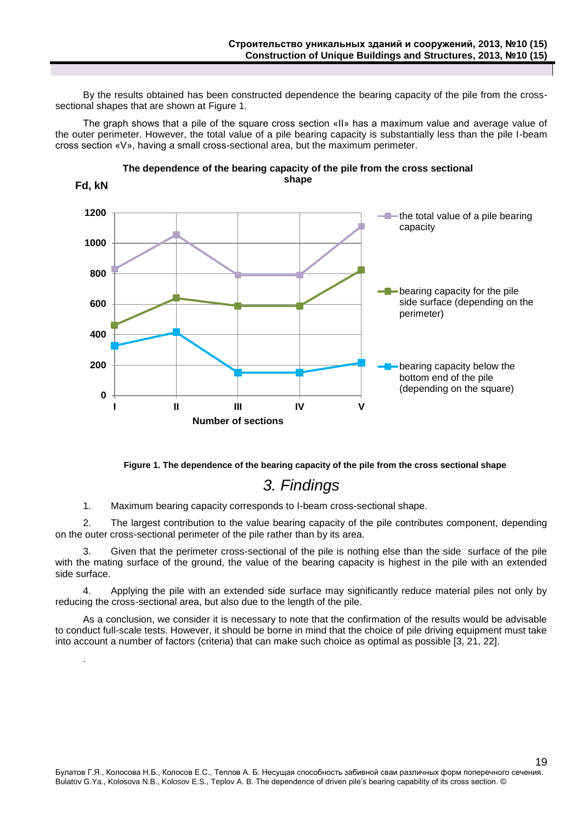By the results obtained has been constructed dependence the bearing capacity of the pile from the crosssectional shapes that are shown at Figure 1.

The graph shows that a pile of the square cross section «II» has a maximum value and average value of the outer perimeter. However, the total value of a pile bearing capacity is substantially less than the pile I-beam cross section «V», having a small cross-sectional area, but the maximum perimeter.





**Figure 1. The dependence of the bearing capacity of the pile from the cross sectional shape**

# *3. Findings*

<span id="page-4-0"></span>1. Maximum bearing capacity corresponds to I-beam cross-sectional shape.

.

2. The largest contribution to the value bearing capacity of the pile contributes component, depending on the outer cross-sectional perimeter of the pile rather than by its area.

3. Given that the perimeter cross-sectional of the pile is nothing else than the side surface of the pile with the mating surface of the ground, the value of the bearing capacity is highest in the pile with an extended side surface.

4. Applying the pile with an extended side surface may significantly reduce material piles not only by reducing the cross-sectional area, but also due to the length of the pile.

As a conclusion, we consider it is necessary to note that the confirmation of the results would be advisable to conduct full-scale tests. However, it should be borne in mind that the choice of pile driving equipment must take into account a number of factors (criteria) that can make such choice as optimal as possible [3, 21, 22].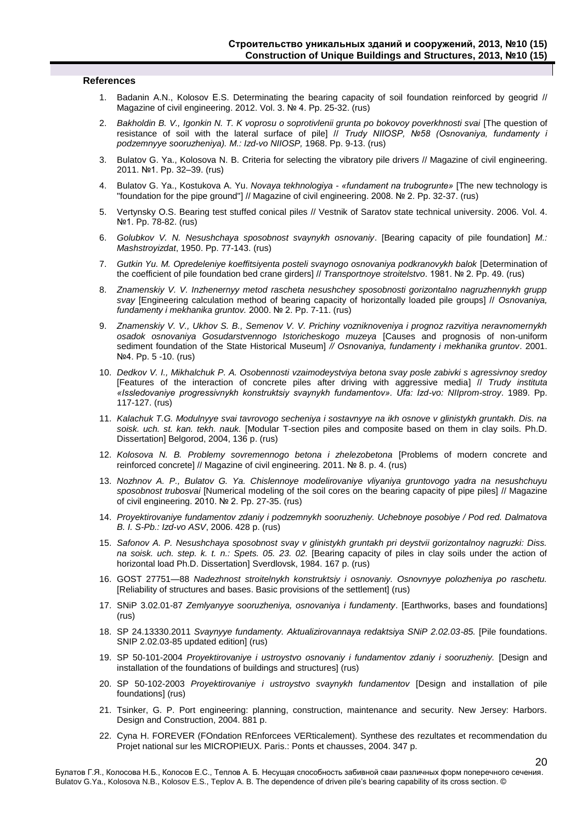#### **References**

- 1. Badanin A.N., Kolosov Е.S. Determinating the bearing capacity of soil foundation reinforced by geogrid // Magazine of civil engineering. 2012. Vol. 3. № 4. Pp. 25-32. (rus)
- 2. *Bakholdin B. V., Igonkin N. T. K voprosu o soprotivlenii grunta po bokovoy poverkhnosti svai* [The question of resistance of soil with the lateral surface of pile] // *Trudy NIIOSP, №58 (Osnovaniya, fundamenty i podzemnyye sooruzheniya). M.: Izd-vo NIIOSP,* 1968. Pp. 9-13. (rus)
- 3. Bulatov G. Ya., Kolosova N. B. Criteria for selecting the vibratory pile drivers // Magazine of civil engineering. 2011. №1. Pp. 32–39. (rus)
- 4. Bulatov G. Ya., Kostukova A. Yu. *Novaya tekhnologiya - «fundament na trubogrunte»* [The new technology is "foundation for the pipe ground"] // Magazine of civil engineering. 2008. № 2. Pp. 32-37. (rus)
- 5. Vertynsky O.S. Bearing test stuffed conical piles // Vestnik of Saratov state technical university. 2006. Vol. 4. №1. Pp. 78-82. (rus)
- 6. *Golubkov V. N. Nesushchaya sposobnost svaynykh osnovaniy*. [Bearing capacity of pile foundation] *M.: Mashstroyizdat*, 1950. Pp. 77-143. (rus)
- 7. *Gutkin Yu. M. Opredeleniye koeffitsiyenta posteli svaynogo osnovaniya podkranovykh balok* [Determination of the coefficient of pile foundation bed crane girders] // *Transportnoye stroitelstvo*. 1981. № 2. Pp. 49. (rus)
- 8. *Znamenskiy V. V. Inzhenernyy metod rascheta nesushchey sposobnosti gorizontalno nagruzhennykh grupp svay* [Engineering calculation method of bearing capacity of horizontally loaded pile groups] // *Osnovaniya, fundamenty i mekhanika gruntov.* 2000. № 2. Pp. 7-11. (rus)
- 9. *Znamenskiy V. V., Ukhov S. B., Semenov V. V. Prichiny vozniknoveniya i prognoz razvitiya neravnomernykh osadok osnovaniya Gosudarstvennogo Istoricheskogo muzeya* [Causes and prognosis of non-uniform sediment foundation of the State Historical Museum] *// Osnovaniya, fundamenty i mekhanika gruntov*. 2001. №4. Pp. 5 -10. (rus)
- 10. *Dedkov V. I., Mikhalchuk P. A. Osobennosti vzaimodeystviya betona svay posle zabivki s agressivnoy sredoy*  [Features of the interaction of concrete piles after driving with aggressive media] // *Trudy instituta «Issledovaniye progressivnykh konstruktsiy svaynykh fundamentov». Ufa: Izd-vo: NIIprom-stroy*. 1989. Pp. 117-127. (rus)
- 11. *Kalachuk T.G. Modulnyye svai tavrovogo secheniya i sostavnyye na ikh osnove v glinistykh gruntakh. Dis. na soisk. uch. st. kan. tekh. nauk.* [Modular T-section piles and composite based on them in clay soils. Ph.D. Dissertation] Belgorod, 2004, 136 p. (rus)
- 12. *Kolosova N. B. Problemy sovremennogo betona i zhelezobetona* [Problems of modern concrete and reinforced concrete] // Magazine of civil engineering. 2011. № 8. p. 4. (rus)
- 13. *Nozhnov A. P., Bulatov G. Ya. Chislennoye modelirovaniye vliyaniya gruntovogo yadra na nesushchuyu sposobnost trubosvai* [Numerical modeling of the soil cores on the bearing capacity of pipe piles] // Magazine of civil engineering. 2010. № 2. Pp. 27-35. (rus)
- 14. *Proyektirovaniye fundamentov zdaniy i podzemnykh sooruzheniy. Uchebnoye posobiye / Pod red. Dalmatova B. I. S-Pb.: Izd-vo ASV*, 2006. 428 p. (rus)
- 15. *Safonov A. P. Nesushchaya sposobnost svay v glinistykh gruntakh pri deystvii gorizontalnoy nagruzki: Diss. na soisk. uch. step. k. t. n.: Spets. 05. 23. 02.* [Bearing capacity of piles in clay soils under the action of horizontal load Ph.D. Dissertation] Sverdlovsk, 1984. 167 p. (rus)
- 16. GOST 27751—88 *Nadezhnost stroitelnykh konstruktsiy i osnovaniy. Osnovnyye polozheniya po raschetu.* [Reliability of structures and bases. Basic provisions of the settlement] (rus)
- 17. SNiP 3.02.01-87 *Zemlyanyye sooruzheniya, osnovaniya i fundamenty*. [Earthworks, bases and foundations] (rus)
- 18. SP 24.13330.2011 *Svaynyye fundamenty. Aktualizirovannaya redaktsiya SNiP 2.02.03-85.* [Pile foundations. SNIP 2.02.03-85 updated edition] (rus)
- 19. SP 50-101-2004 *Proyektirovaniye i ustroystvo osnovaniy i fundamentov zdaniy i sooruzheniy.* [Design and installation of the foundations of buildings and structures] (rus)
- 20. SP 50-102-2003 *Proyektirovaniye i ustroystvo svaynykh fundamentov* [Design and installation of pile foundations] (rus)
- 21. Tsinker, G. P. Port engineering: planning, construction, maintenance and security. New Jersey: Harbors. Design and Construction, 2004. 881 p.
- 22. Cyna H. FOREVER (FOndation REnforcees VERticalement). Synthese des rezultates et recommendation du Projet national sur les MICROPIEUX. Paris.: Ponts et chausses, 2004. 347 p.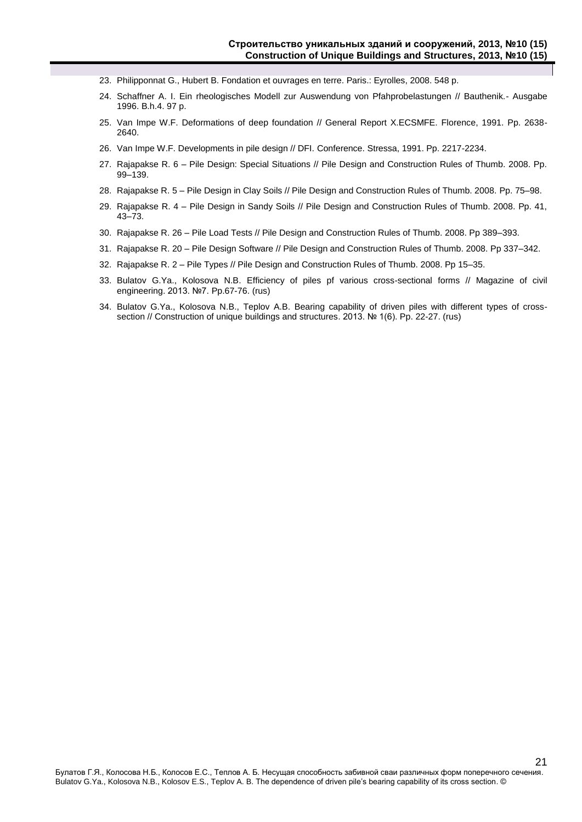- 23. Philipponnat G., Hubert B. Fondation et ouvrages en terre. Paris.: Eyrolles, 2008. 548 p.
- 24. Schaffner A. I. Ein rheologisches Modell zur Auswendung von Pfahprobelastungen // Bauthenik.- Ausgabe 1996. B.h.4. 97 p.
- 25. Van Impe W.F. Deformations of deep foundation // General Report X.ECSMFE. Florence, 1991. Pp. 2638- 2640.
- 26. Van Impe W.F. Developments in pile design // DFI. Conference. Stressa, 1991. Pp. 2217-2234.
- 27. Rajapakse R. 6 Pile Design: Special Situations // Pile Design and Construction Rules of Thumb. 2008. Pp. 99–139.
- 28. Rajapakse R. 5 Pile Design in Clay Soils // Pile Design and Construction Rules of Thumb. 2008. Pp. 75–98.
- 29. Rajapakse R. 4 Pile Design in Sandy Soils // Pile Design and Construction Rules of Thumb. 2008. Pp. 41, 43–73.
- 30. Rajapakse R. 26 Pile Load Tests // Pile Design and Construction Rules of Thumb. 2008. Pp 389–393.
- 31. Rajapakse R. 20 Pile Design Software // Pile Design and Construction Rules of Thumb. 2008. Pp 337–342.
- 32. Rajapakse R. 2 Pile Types // Pile Design and Construction Rules of Thumb. 2008. Pp 15–35.
- 33. Bulatov G.Ya., Kolosova N.B. Efficiency of piles pf various cross-sectional forms // Magazine of civil engineering. 2013. №7. Pp.67-76. (rus)
- 34. Bulatov G.Ya., Kolosova N.B., Teplov A.B. Bearing capability of driven piles with different types of crosssection // Construction of unique buildings and structures. 2013. № 1(6). Pp. 22-27. (rus)

21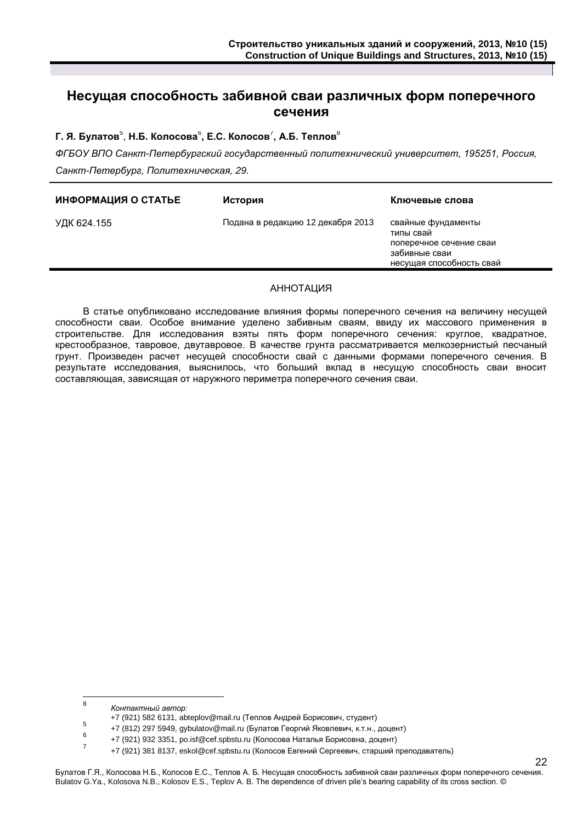## **Несущая способность забивной сваи различных форм поперечного сечения**

### $\mathsf{\Gamma}.$  Я. Булатов $^5$ , Н.Б. Колосова $^6$ , Е.С. Колосов $^7$ , А.Б. Теплов $^8$

*ФГБОУ ВПО Санкт-Петербургский государственный политехнический университет, 195251, Россия, Санкт-Петербург, Политехническая, 29.*

| ИНФОРМАЦИЯ О СТАТЬЕ | История                           | Ключевые слова                                                                                          |
|---------------------|-----------------------------------|---------------------------------------------------------------------------------------------------------|
| УДК 624.155         | Подана в редакцию 12 декабря 2013 | свайные фундаменты<br>типы свай<br>поперечное сечение сваи<br>забивные сваи<br>несущая способность свай |
|                     |                                   |                                                                                                         |

#### АННОТАЦИЯ

В статье опубликовано исследование влияния формы поперечного сечения на величину несущей способности сваи. Особое внимание уделено забивным сваям, ввиду их массового применения в строительстве. Для исследования взяты пять форм поперечного сечения: круглое, квадратное, крестообразное, тавровое, двутавровое. В качестве грунта рассматривается мелкозернистый песчаный грунт. Произведен расчет несущей способности свай с данными формами поперечного сечения. В результате исследования, выяснилось, что больший вклад в несущую способность сваи вносит составляющая, зависящая от наружного периметра поперечного сечения сваи.

7

 8 *Контактный автор:*

<sup>+7 (921) 582 6131,</sup> abteplov@mail.ru (Теплов Андрей Борисович, студент)

<sup>5</sup> +7 (812) 297 5949, gybulatov@mail.ru (Булатов Георгий Яковлевич, к.т.н., доцент) 6

<sup>+7 (921) 932 3351,</sup> po.isf@cef.spbstu.ru (Колосова Наталья Борисовна, доцент)

<sup>+7 (921) 381 8137,</sup> eskol@cef.spbstu.ru (Колосов Евгений Сергеевич, старший преподаватель)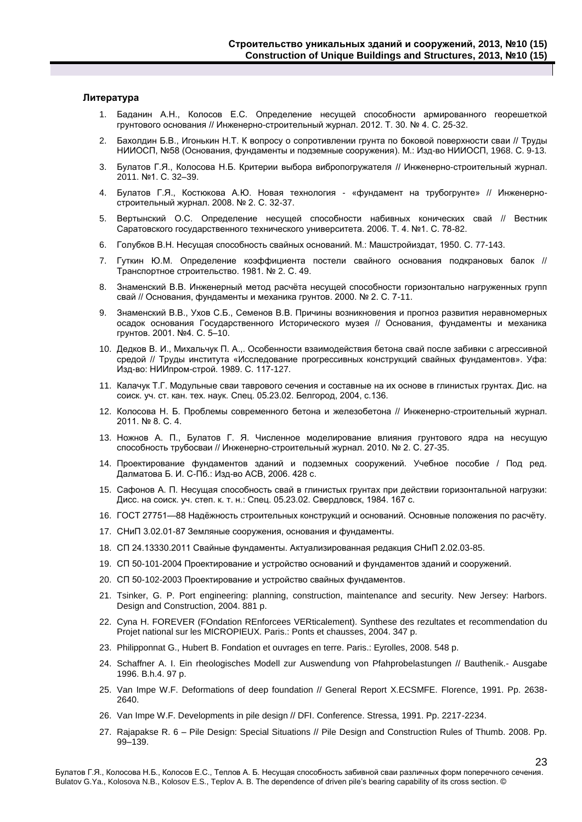#### **Литература**

- 1. Баданин А.Н., Колосов Е.С. Определение несущей способности армированного георешеткой грунтового основания // Инженерно-строительный журнал. 2012. Т. 30. № 4. С. 25-32.
- 2. Бахолдин Б.В., Игонькин Н.Т. К вопросу о сопротивлении грунта по боковой поверхности сваи // Труды НИИОСП, №58 (Основания, фундаменты и подземные сооружения). М.: Изд-во НИИОСП, 1968. С. 9-13.
- 3. Булатов Г.Я., Колосова Н.Б. Критерии выбора вибропогружателя // Инженерно-строительный журнал. 2011. №1. С. 32–39.
- 4. Булатов Г.Я., Костюкова А.Ю. Новая технология «фундамент на трубогрунте» // Инженерностроительный журнал. 2008. № 2. С. 32-37.
- 5. Вертынский О.С. Определение несущей способности набивных конических свай // Вестник Саратовского государственного технического университета. 2006. Т. 4. №1. С. 78-82.
- 6. Голубков В.Н. Несущая способность свайных оснований. М.: Машстройиздат, 1950. С. 77-143.
- 7. Гуткин Ю.М. Определение коэффициента постели свайного основания подкрановых балок // Транспортное строительство. 1981. № 2. С. 49.
- 8. Знаменский В.В. Инженерный метод расчёта несущей способности горизонтально нагруженных групп свай // Основания, фундаменты и механика грунтов. 2000. № 2. С. 7-11.
- 9. Знаменский В.В., Ухов С.Б., Семенов В.В. Причины возникновения и прогноз развития неравномерных осадок основания Государственного Исторического музея // Основания, фундаменты и механика грунтов. 2001. №4. С. 5–10.
- 10. Дедков В. И., Михальчук П. А.,. Особенности взаимодействия бетона свай после забивки с агрессивной средой // Труды института «Исследование прогрессивных конструкций свайных фундаментов». Уфа: Изд-во: НИИпром-строй. 1989. С. 117-127.
- 11. Калачук Т.Г. Модульные сваи таврового сечения и составные на их основе в глинистых грунтах. Дис. на соиск. уч. ст. кан. тех. наук. Спец. 05.23.02. Белгород, 2004, с.136.
- 12. Колосова Н. Б. Проблемы современного бетона и железобетона // Инженерно-строительный журнал. 2011. № 8. С. 4.
- 13. Ножнов А. П., Булатов Г. Я. Численное моделирование влияния грунтового ядра на несущую способность трубосваи // Инженерно-строительный журнал. 2010. № 2. С. 27-35.
- 14. Проектирование фундаментов зданий и подземных сооружений. Учебное пособие / Под ред. Далматова Б. И. С-Пб.: Изд-во АСВ, 2006. 428 с.
- 15. Сафонов А. П. Несущая способность свай в глинистых грунтах при действии горизонтальной нагрузки: Дисс. на соиск. уч. степ. к. т. н.: Спец. 05.23.02. Свердловск, 1984. 167 с.
- 16. ГОСТ 27751—88 Надёжность строительных конструкций и оснований. Основные положения по расчёту.
- 17. СНиП 3.02.01-87 Земляные сооружения, основания и фундаменты.
- 18. СП 24.13330.2011 Свайные фундаменты. Актуализированная редакция СНиП 2.02.03-85.
- 19. СП 50-101-2004 Проектирование и устройство оснований и фундаментов зданий и сооружений.
- 20. СП 50-102-2003 Проектирование и устройство свайных фундаментов.
- 21. Tsinker, G. P. Port engineering: planning, construction, maintenance and security. New Jersey: Harbors. Design and Construction, 2004. 881 p.
- 22. Cyna H. FOREVER (FOndation REnforcees VERticalement). Synthese des rezultates et recommendation du Projet national sur les MICROPIEUX. Paris.: Ponts et chausses, 2004. 347 p.
- 23. Philipponnat G., Hubert B. Fondation et ouvrages en terre. Paris.: Eyrolles, 2008. 548 p.
- 24. Schaffner A. I. Ein rheologisches Modell zur Auswendung von Pfahprobelastungen // Bauthenik.- Ausgabe 1996. B.h.4. 97 p.
- 25. Van Impe W.F. Deformations of deep foundation // General Report X.ECSMFE. Florence, 1991. Pp. 2638- 2640.
- 26. Van Impe W.F. Developments in pile design // DFI. Conference. Stressa, 1991. Pp. 2217-2234.
- 27. Rajapakse R. 6 Pile Design: Special Situations // Pile Design and Construction Rules of Thumb. 2008. Pp. 99–139.